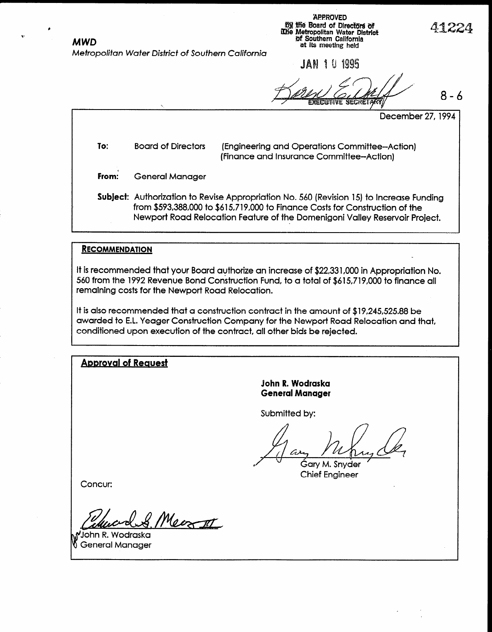;APPRDVED like Board of Directors of  $\mathcal{A}$  and  $\mathcal{A}$ MWD **D** Soluthern California at its meetlng held

Mefropolifan Wafer Disfrict of Southern California

JAN 1 U 1995

8-6

December 27,1994

To: Board of Directors (Engineering and Operations Committee-Action) (Finance and Insurance Committee-Action)

From: General Manager

Subject: Authorization to Revise Appropriation No. 560 (Revision 15) to Increase Funding from \$593,388,000 to \$615719,000 to Finance Costs for Construction of the Newport Road Relocation Feature of the Domenigoni Valley Reservoir Project.

#### **RECOMMENDATION**

It is recommended that your Board authorize an increase of \$22,331,000 in Appropriation No. 560 from the 1992 Revenue Bond Construction Fund, to a total of \$615,719,000 to finance all remaining costs for the Newport Road Relocation.

It is also recommended that a construction contract in the amount of \$19,245,525.88 be awarded to E.L. Yeager Construction Company for the Newport Road Relocation and that, conditioned upon execution of the contract, all other bids be rejected.

**Approval of Request** 

## John R. Wodraska General Manager

Submitted by:

Gary M. Snyder<br>Chief Engineer

Concur:

Meernt  $\mu$ 

John K. Woarask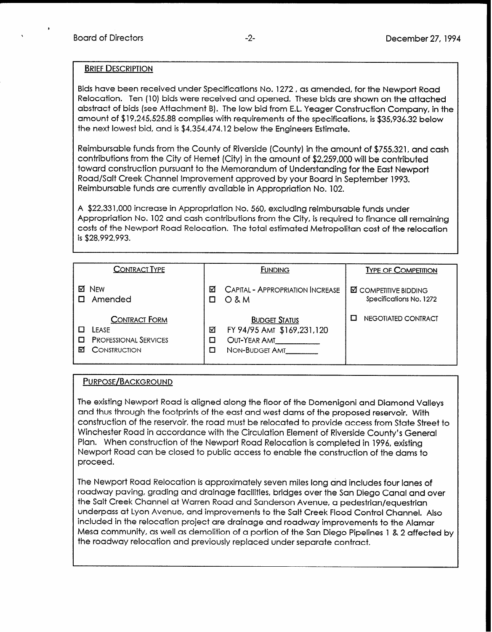#### BRIEF DESCRIPTION

Bids have been received under Specifications No. 1272, as amended, for the Newport Road Relocation. Ten (10) bids were received and opened. These bids are shown on the attached abstract of bids (see Attachment B). The low bid from E.L. Yeager Construction Company, in the amount of \$19,245,525.88 complies with requirements of the specifications, is \$35,936.32 below the next lowest bid, and is \$4,354,474.12 below the Engineers Estimate.

Reimbursable funds from the County of Riverside (County) in the amount of \$755,321, and cash contributions from the City of Hemet (City) in the amount of \$2,259,000 will be contributed toward construction pursuant to the Memorandum of Understanding for the East Newport Road/Salt Creek Channel Improvement approved by your Board in September 1993. Reimbursable funds are currently available in Appropriation No. 102.

A \$22,331,000 increase in Appropriation No. 560, excluding reimbursable funds under Appropriation No. 102 and cash contributions from the City, is required to finance all remaining costs of the Newport Road Relocation. The total estimated Metropolitan cost of the relocation is \$28,992,993.

| <b>CONTRACT TYPE</b>                                                               | <b>FUNDING</b>                                                                                 | <b>TYPE OF COMPETITION</b>                              |
|------------------------------------------------------------------------------------|------------------------------------------------------------------------------------------------|---------------------------------------------------------|
| <b>NFW</b><br>м<br>Amended                                                         | CAPITAL - APPROPRIATION INCREASE<br>☑<br>$O$ & M                                               | <b>Ø COMPETITIVE BIDDING</b><br>Specifications No. 1272 |
| <b>CONTRACT FORM</b><br>LEASE<br><b>PROFESSIONAL SERVICES</b><br>CONSTRUCTION<br>м | <b>BUDGET STATUS</b><br>FY 94/95 AMT \$169,231,120<br>⊠<br>OUT-YEAR AMT<br>С<br>NON-BUDGET AMT | NEGOTIATED CONTRACT                                     |

#### PURPOSE/BACKGROUND

The existing Newport Road is aligned along the floor of the Domenigoni and Diamond Valleys and thus through the footprints of the east and west dams of the proposed reservoir. With construction of the reservoir, the road must be relocated to provide access from State Street to Winchester Road in accordance with the Circulation Element of Riverside County's General Plan. When construction of the Newport Road Relocation is completed in 1996, existing Newport Road can be closed to public access to enable the construction of the dams to proceed.

The Newport Road Relocation is approximately seven miles long and includes four lanes of roadway paving, grading and drainage facilities, bridges over the San Diego Canal and over the Salt Creek Channel at Warren Road and Sanderson Avenue, a pedestrian/equestrian underpass at Lyon Avenue, and improvements to the Salt Creek Flood Control Channel. Also included in the relocation project are drainage and roadway improvements to the Alamar Mesa community, as well as demolition of a portion of the San Diego Pipelines 1 & 2 affected by the roadway relocation and previously replaced under separate contract.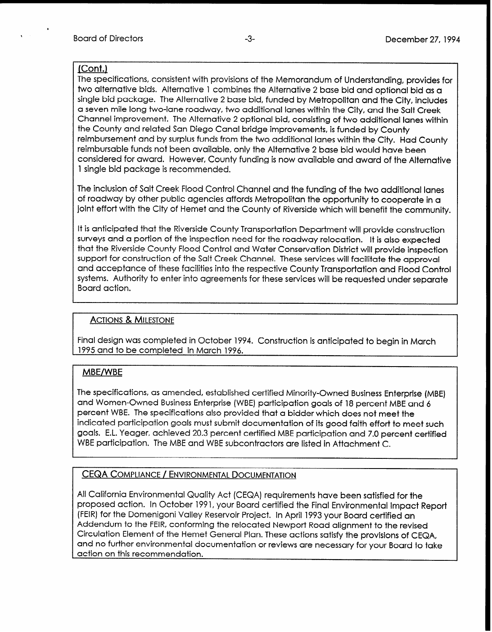## (Cont.)

The specifications, consistent with provisions of the Memorandum of Understanding, provides for two alternative bids. Alternative 1 combines the Alternative 2 base bid and optional bid as a single bid package. The Alternative 2 base bid, funded by Metropolitan and the City, includes a seven mile long two-lane roadway, two additional lanes within the City, and the Salt Creek Channel improvement. The Alternative 2 optional bid, consisting of two additional lanes within the County and related San Diego Canal bridge improvements, is funded by County reimbursement and by surplus funds from the two additional lanes within the City. Had County reimbursable funds not been available, only the Alternative 2 base bid would have been considered for award. However, County funding is now available and award of the Alternative 1 single bid package is recommended.

The inclusion of Salt Creek Flood Control Channel and the funding of the two additional lanes of roadway by other public agencies affords Metropolitan the opportunity to cooperate in a joint effort with the City of Hemet and the County of Riverside which will benefit the community.

It is anticipated that the Riverside County Transportation Department will provide construction surveys and a portion of the inspection need for the roadway relocation. It is also expected that the Riverside County Flood Control and Water Conservation District will provide inspection support for construction of the Salt Creek Channel. These services will facilitate the approval and acceptance of these facilities into the respective County Transportation and Flood Control systems. Authority to enter into agreements for these services will be requested under separate Board action.

## ACTIONS & MILESTONE

Final design was completed in October 1994. Construction is anticipated to begin in March 1995 and to be completed in March 1996.

## MBE/WBE

The specifications, as amended, established certified Minority-Owned Business Enterprise (MBE) and Women-Owned Business Enterprise (WBE) participation goals of 18 percent MBE and 6 percent WBE. The specifications also provided that a bidder which does not meet the indicated participation goals must submit documentation of its good faith effort to meet such goals. E.L. Yeager, achieved 20.3 percent certified MBE participation and 7.0 percent certified WBE participation. The MBE and WBE subcontractors are listed in Attachment C.

# CEQA COMPLIANCE / ENVIRONMENTAL DOCUMENTATION

All California Environmental Quality Act (CEQA) requirements have been satisfied for the proposed action. In October 1991, your Board certified the Final Environmental Impact Report (FEIR) for the Domenigoni Valley Reservoir Project. In April 1993 your Board certified an Addendum to the FEIR, conforming the relocated Newport Road alignment to the revised Circulation Element of the Hemet General Plan. These actions satisfy the provisions of CEQA, and no further environmental documentation or reviews are necessary for your Board to take action on this recommendation.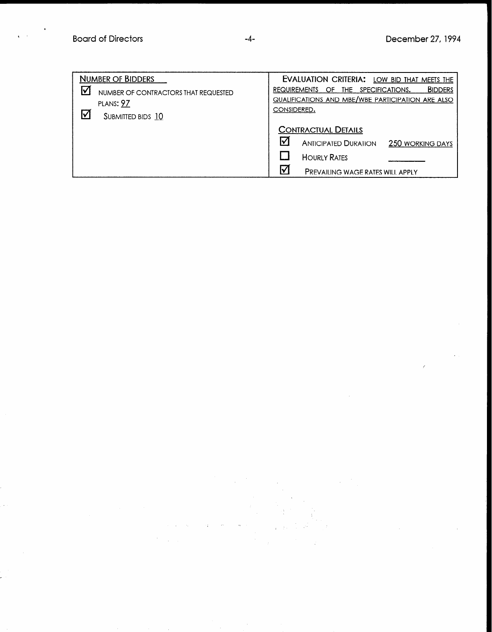| <b>NUMBER OF BIDDERS</b>                  | EVALUATION CRITERIA: LOW BID THAT MEETS THE                            |
|-------------------------------------------|------------------------------------------------------------------------|
| ☑<br>NUMBER OF CONTRACTORS THAT REQUESTED | <b>BIDDERS</b><br>SPECIFICATIONS.<br>THE.<br><b>REQUIREMENTS</b><br>OF |
| PLANS: 97                                 | QUALIFICATIONS AND MBE/WBE PARTICIPATION ARE ALSO                      |
| ☑<br>SUBMITTED BIDS 10                    | CONSIDERED.                                                            |
|                                           | <b>CONTRACTUAL DETAILS</b>                                             |
|                                           | I√<br><b>ANTICIPATED DURATION</b><br><b>250 WORKING DAYS</b>           |
|                                           | <b>HOURLY RATES</b>                                                    |
|                                           | I۷<br><b>PREVAILING WAGE RATES WILL APPLY</b>                          |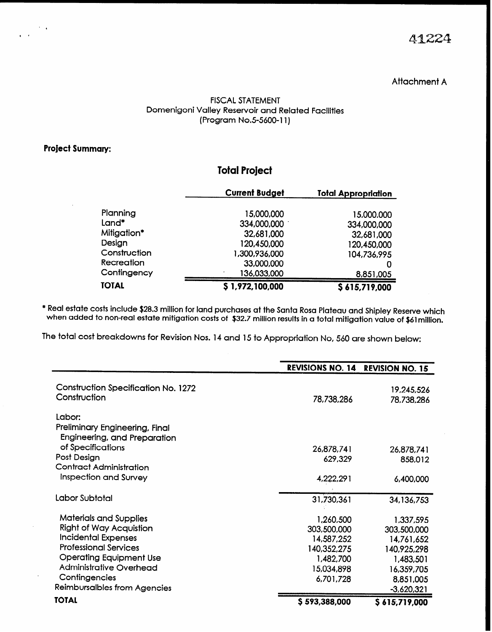41224

## Attachment A

#### FISCAL STATEMENT Domenigoni Valley Reservoir and Related Facilities (Program No.5-5600-11)

### Project Summary:

 $\sim 10$ 

 $\mathbf{r}$ 

## Total Project

|              | <b>Current Budget</b> | <b>Total Appropriation</b> |
|--------------|-----------------------|----------------------------|
|              |                       |                            |
| Planning     | 15,000,000            | 15,000,000                 |
| Land*        | 334,000,000           | 334,000,000                |
| Mitigation*  | 32,681,000            | 32,681,000                 |
| Design       | 120,450,000           | 120,450,000                |
| Construction | 1,300,936,000         | 104,736,995                |
| Recreation   | 33,000,000            |                            |
| Contingency  | 136,033,000           | 8,851,005                  |
| <b>TOTAL</b> | \$1,972,100,000       | \$615,719,000              |

\* Real estate costs include \$28.3 million for land purchases at the Santa Rosa Plateau and Shipley Reserve which when added to non-real estate mitigation costs of \$32.7 million results in a total mitigation value of \$61 million.

The total cost breakdowns for Revision Nos. 14 and 15 to Appropriation No, 560 are shown below:

|                                                                          | REVISIONS NO. 14 REVISION NO. 15 |                           |
|--------------------------------------------------------------------------|----------------------------------|---------------------------|
| <b>Construction Specification No. 1272</b><br>Construction               | 78,738,286                       | 19,245,526<br>78,738,286  |
| Labor:<br>Preliminary Engineering, Final<br>Engineering, and Preparation |                                  |                           |
| of Specifications<br>Post Design<br><b>Contract Administration</b>       | 26,878,741<br>629,329            | 26,878,741<br>858,012     |
| <b>Inspection and Survey</b>                                             | 4,222,291                        | 6,400,000                 |
| Labor Subtotal                                                           | 31,730,361                       | 34, 136, 753              |
| <b>Materials and Supplies</b>                                            | 1,260,500                        | 1,337,595                 |
| <b>Right of Way Acquistion</b><br><b>Incidental Expenses</b>             | 303,500,000<br>14,587,252        | 303,500,000<br>14,761,652 |
| <b>Professional Services</b>                                             | 140,352,275                      | 140,925,298               |
| <b>Operating Equipment Use</b><br><b>Administrative Overhead</b>         | 1,482,700<br>15,034,898          | 1,483,501<br>16,359,705   |
| Contingencies                                                            | 6,701,728                        | 8,851,005                 |
| Reimbursalbles from Agencies                                             |                                  | $-3,620,321$              |
| <b>TOTAL</b>                                                             | \$593,388,000                    | \$615,719,000             |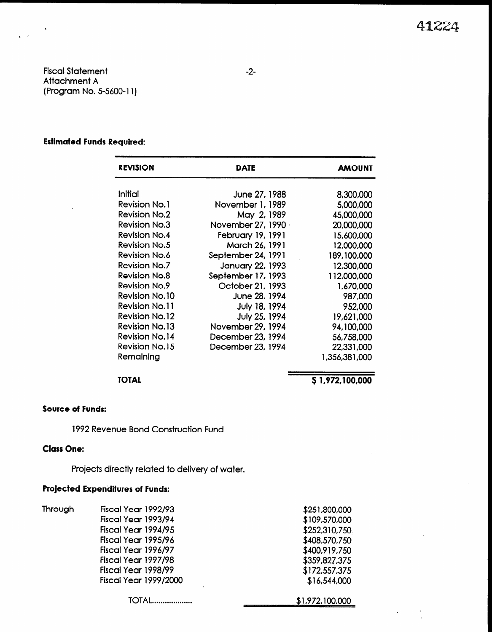Fiscal Statement Attachment A (Program No. 5-5600-l 1)

 $\epsilon = \epsilon$ 

#### Estimated Funds Required:

| <b>REVISION</b>       | DATE                | <b>AMOUNT</b> |
|-----------------------|---------------------|---------------|
|                       |                     |               |
| Initial               | June 27, 1988       | 8,300,000     |
| <b>Revision No.1</b>  | November 1, 1989    | 5,000,000     |
| <b>Revision No.2</b>  | May 2, 1989         | 45,000,000    |
| <b>Revision No.3</b>  | November 27, 1990 · | 20,000,000    |
| Revision No.4         | February 19, 1991   | 15,600,000    |
| <b>Revision No.5</b>  | March 26, 1991      | 12,000,000    |
| Revision No.6         | September 24, 1991  | 189,100,000   |
| <b>Revision No.7</b>  | January 22, 1993    | 12,300,000    |
| <b>Revision No.8</b>  | September 17, 1993  | 112,000,000   |
| <b>Revision No.9</b>  | October 21, 1993    | 1,670,000     |
| <b>Revision No.10</b> | June 28, 1994       | 987,000       |
| <b>Revision No.11</b> | July 18, 1994       | 952,000       |
| <b>Revision No.12</b> | July 25, 1994       | 19,621,000    |
| <b>Revision No.13</b> | November 29, 1994   | 94,100,000    |
| <b>Revision No.14</b> | December 23, 1994   | 56,758,000    |
| <b>Revision No.15</b> | December 23, 1994   | 22,331,000    |
| Remaining             |                     | 1,356,381,000 |

#### TOTAL

## \$1,972,100,000

#### Source of Funds:

1992 Revenue Bond Construction Fund

## Class One:

Projects directly related to delivery of water.

## Projected Expenditures of Funds:

| Through | Fiscal Year 1992/93          | \$251,800,000   |
|---------|------------------------------|-----------------|
|         | Fiscal Year 1993/94          | \$109,570,000   |
|         | Fiscal Year 1994/95          | \$252,310,750   |
|         | Fiscal Year 1995/96          | \$408,570,750   |
|         | Fiscal Year 1996/97          | \$400,919,750   |
|         | Fiscal Year 1997/98          | \$359,827,375   |
|         | Fiscal Year 1998/99          | \$172,557,375   |
|         | <b>Fiscal Year 1999/2000</b> | \$16,544,000    |
|         |                              | \$1,972,100,000 |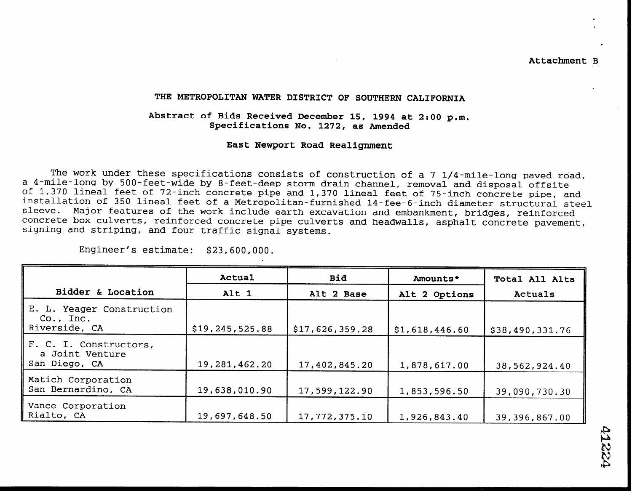Attachment B

#### THE METROPOLITAN WATER DISTRICT OF SOUTHERN CALIFORNIA

#### Abstract of Bids Received December 15, 1994 at 2:00 p.m. Specifications No. 1272, as Amended

#### East Newport Road Realignment

The work under these specifications consists of construction of a 7 1/4-mile-long paved road, a 4-mile-long by 500-feet-wide by 8-feet-deep storm drain channel, removal and disposal offsite of 1,370 lineal feet of 72-inch concrete pipe and 1,370 lineal feet of 75-inch concrete pipe, and installation of 350 lineal feet of a Metropolitan-furnished 14-fee-6-inch-diameter structural steel sleeve. Major features of the work include earth excavation and embankment, bridges, reinforced concrete box culverts, reinforced concrete pipe culverts and headwalls, asphalt concrete pavement signing and striping, and four traffic signal systems.

Engineer's estimate: \$23,600,000.

| Bidder & Location                                            | Actual<br>Alt 1   | <b>Bid</b><br>Alt 2 Base | Amounts*<br>Alt 2 Options | Total All Alts<br>Actuals |
|--------------------------------------------------------------|-------------------|--------------------------|---------------------------|---------------------------|
| E. L. Yeager Construction<br>$Co.$ , $Inc.$<br>Riverside, CA | \$19, 245, 525.88 | \$17,626,359.28          | \$1,618,446.60            | \$38,490,331.76           |
| F. C. I. Constructors,<br>a Joint Venture<br>San Diego, CA   | 19, 281, 462. 20  | 17,402,845.20            | 1,878,617.00              | 38,562,924.40             |
| Matich Corporation<br>San Bernardino, CA                     | 19,638,010.90     | 17,599,122.90            | 1,853,596.50              | 39,090,730.30             |
| Vance Corporation<br>Rialto, CA                              | 19,697,648.50     | 17,772,375.10            | 1,926,843.40              | 39,396,867.00             |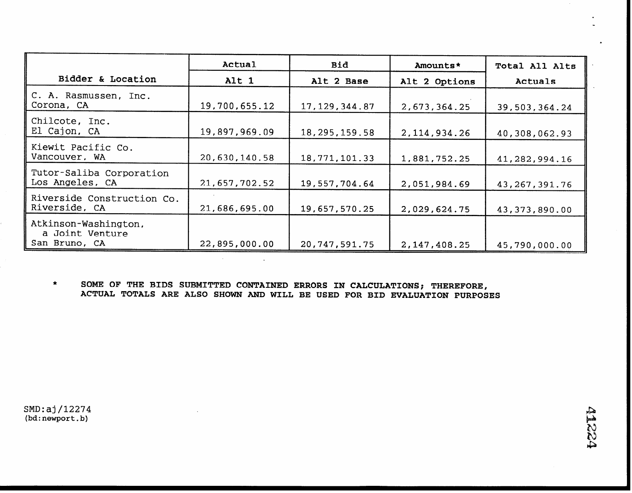|                                                          | Actual        | <b>Bid</b>       | Amounts*        | Total All Alts   |
|----------------------------------------------------------|---------------|------------------|-----------------|------------------|
| Bidder & Location                                        | Alt 1         | Alt 2 Base       | Alt 2 Options   | Actuals          |
| C. A. Rasmussen, Inc.<br>Corona, CA                      | 19,700,655.12 | 17, 129, 344.87  | 2,673,364.25    | 39,503,364.24    |
| Chilcote, Inc.<br>El Cajon, CA                           | 19,897,969.09 | 18, 295, 159.58  | 2, 114, 934. 26 | 40,308,062.93    |
| Kiewit Pacific Co.<br>Vancouver, WA                      | 20,630,140.58 | 18, 771, 101.33  | 1,881,752.25    | 41,282,994.16    |
| Tutor-Saliba Corporation<br>Los Angeles, CA              | 21,657,702.52 | 19,557,704.64    | 2,051,984.69    | 43, 267, 391. 76 |
| Riverside Construction Co.<br>Riverside, CA              | 21,686,695.00 | 19,657,570.25    | 2,029,624.75    | 43, 373, 890.00  |
| Atkinson-Washington,<br>a Joint Venture<br>San Bruno, CA | 22,895,000.00 | 20, 747, 591. 75 | 2, 147, 408. 25 | 45,790,000.00    |

\* SOME OF THE BIDS SUBMITTED CONTAINED ERRORS IN CALCULATIONS; THEREFORE, ACTUAL TOTALS ARE ALSO SHOWN AND WILL BE USED FOR BID EVALUATION PURPOSES

 $\mathcal{L}(\mathcal{A})$  and  $\mathcal{L}(\mathcal{A})$  and  $\mathcal{L}(\mathcal{A})$ 

SMD:aj/12274 (bd:newport.b)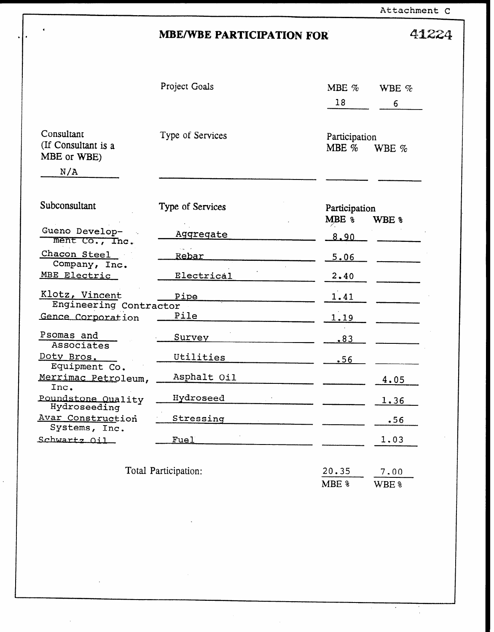Attachment C

 $\ddot{\phantom{0}}$ 

l.

41224

# **MBE/WBE PARTICIPATION FOR**

|                                                  | Project Goals        | MBE %                    | WBE $\%$    |
|--------------------------------------------------|----------------------|--------------------------|-------------|
|                                                  |                      | 18                       | 6           |
| Consultant<br>(If Consultant is a<br>MBE or WBE) | Type of Services     | Participation<br>MBE $%$ | WBE %       |
| N/A                                              |                      |                          |             |
| Subconsultant                                    | Type of Services     | Participation<br>MBE %   | WBE %       |
| Gueno Develop-<br>ment Co., Inc.                 | Aggregate            | 8.90                     |             |
| Chacon Steel<br>Company, Inc.                    | Rebar                | 5.06                     |             |
| MBE Electric                                     | Electrical           | 2.40                     |             |
| Klotz, Vincent<br>Engineering Contractor         | Pipe                 | 1.41                     |             |
| Gence Corporation                                | Pile                 | <u>1.19</u>              |             |
| Psomas and<br>Associates                         | <u>Survey</u>        | .83                      |             |
| <u>Doty Bros.</u><br>Equipment Co.               | Utilities            | .56                      |             |
| Merrimac Petroleum,<br>Inc.                      | Asphalt Oil          |                          | 4.05        |
| Poundstone Quality<br>Hydroseeding               | Hydroseed            |                          | <u>1.36</u> |
| Avar Construction<br>Systems, Inc.               | Stressing            |                          | .56         |
| Schwartz Oil                                     | Fuel                 |                          | 1.03        |
|                                                  | Total Participation: | 20.35                    | 7.00        |
|                                                  |                      | MBE %                    | WBE %       |

 $\ddot{\phantom{a}}$